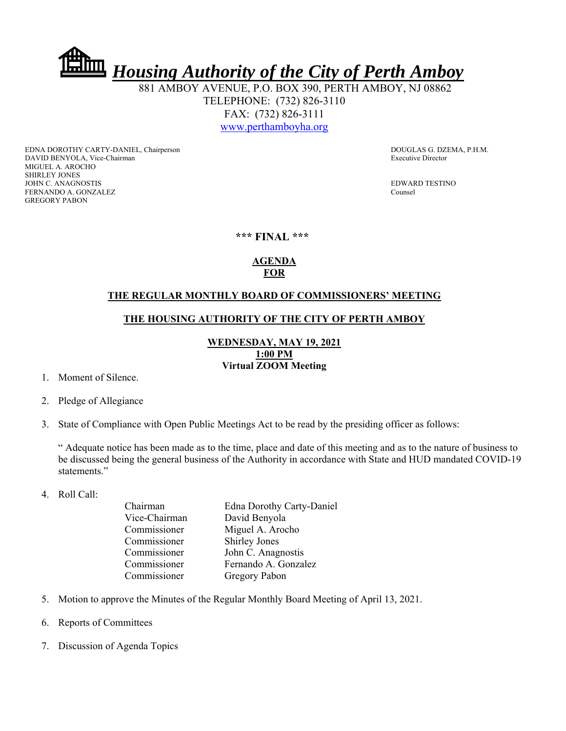*Housing Authority of the City of Perth Amboy*

 881 AMBOY AVENUE, P.O. BOX 390, PERTH AMBOY, NJ 08862 TELEPHONE: (732) 826-3110 FAX: (732) 826-3111 www.perthamboyha.org

EDNA DOROTHY CARTY-DANIEL, Chairperson **DOUGLAS G. DZEMA, P.H.M.** DAVID BENYOLA, Vice-Chairman Executive Director MIGUEL A. AROCHO SHIRLEY JONES JOHN C. ANAGNOSTIS EDWARD TESTINO FERNANDO A. GONZALEZ Counsel GREGORY PABON

#### **\*\*\* FINAL \*\*\***

# **AGENDA FOR**

#### **THE REGULAR MONTHLY BOARD OF COMMISSIONERS' MEETING**

### **THE HOUSING AUTHORITY OF THE CITY OF PERTH AMBOY**

## **WEDNESDAY, MAY 19, 2021 1:00 PM Virtual ZOOM Meeting**

- 1. Moment of Silence.
- 2. Pledge of Allegiance
- 3. State of Compliance with Open Public Meetings Act to be read by the presiding officer as follows:

" Adequate notice has been made as to the time, place and date of this meeting and as to the nature of business to be discussed being the general business of the Authority in accordance with State and HUD mandated COVID-19 statements."

4. Roll Call:

| Chairman      | <b>Edna Dorothy Carty-Daniel</b> |
|---------------|----------------------------------|
| Vice-Chairman | David Benyola                    |
| Commissioner  | Miguel A. Arocho                 |
| Commissioner  | <b>Shirley Jones</b>             |
| Commissioner  | John C. Anagnostis               |
| Commissioner  | Fernando A. Gonzalez             |
| Commissioner  | Gregory Pabon                    |
|               |                                  |

- 5. Motion to approve the Minutes of the Regular Monthly Board Meeting of April 13, 2021.
- 6. Reports of Committees
- 7. Discussion of Agenda Topics